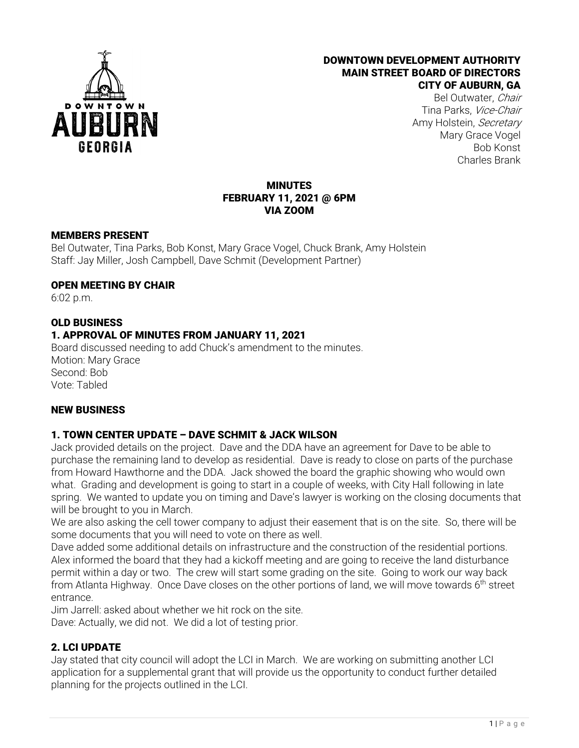

#### DOWNTOWN DEVELOPMENT AUTHORITY MAIN STREET BOARD OF DIRECTORS CITY OF AUBURN, GA

Bel Outwater, Chair Tina Parks, Vice-Chair Amy Holstein, Secretary Mary Grace Vogel Bob Konst Charles Brank

#### MINUTES FEBRUARY 11, 2021 @ 6PM VIA ZOOM

#### MEMBERS PRESENT

Bel Outwater, Tina Parks, Bob Konst, Mary Grace Vogel, Chuck Brank, Amy Holstein Staff: Jay Miller, Josh Campbell, Dave Schmit (Development Partner)

#### OPEN MEETING BY CHAIR

6:02 p.m.

#### OLD BUSINESS

## 1. APPROVAL OF MINUTES FROM JANUARY 11, 2021

Board discussed needing to add Chuck's amendment to the minutes. Motion: Mary Grace Second: Bob Vote: Tabled

#### NEW BUSINESS

## 1. TOWN CENTER UPDATE – DAVE SCHMIT & JACK WILSON

Jack provided details on the project. Dave and the DDA have an agreement for Dave to be able to purchase the remaining land to develop as residential. Dave is ready to close on parts of the purchase from Howard Hawthorne and the DDA. Jack showed the board the graphic showing who would own what. Grading and development is going to start in a couple of weeks, with City Hall following in late spring. We wanted to update you on timing and Dave's lawyer is working on the closing documents that will be brought to you in March.

We are also asking the cell tower company to adjust their easement that is on the site. So, there will be some documents that you will need to vote on there as well.

Dave added some additional details on infrastructure and the construction of the residential portions. Alex informed the board that they had a kickoff meeting and are going to receive the land disturbance permit within a day or two. The crew will start some grading on the site. Going to work our way back from Atlanta Highway. Once Dave closes on the other portions of land, we will move towards 6<sup>th</sup> street entrance.

Jim Jarrell: asked about whether we hit rock on the site. Dave: Actually, we did not. We did a lot of testing prior.

## 2. LCI UPDATE

Jay stated that city council will adopt the LCI in March. We are working on submitting another LCI application for a supplemental grant that will provide us the opportunity to conduct further detailed planning for the projects outlined in the LCI.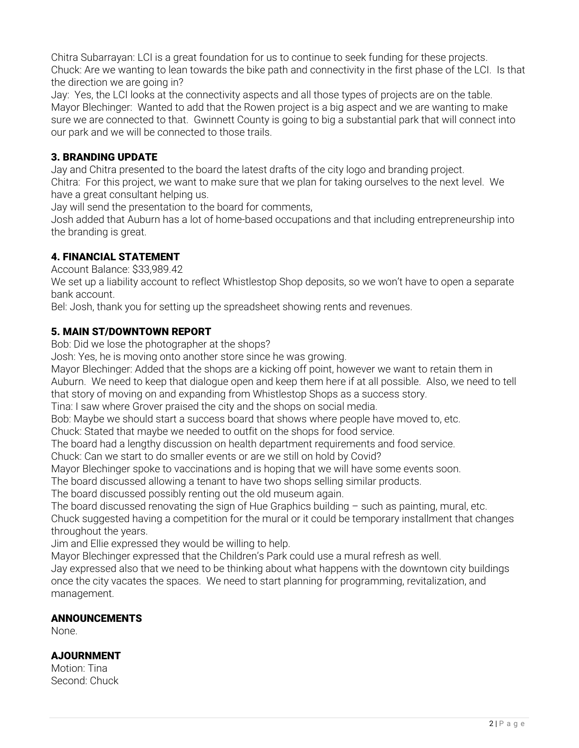Chitra Subarrayan: LCI is a great foundation for us to continue to seek funding for these projects. Chuck: Are we wanting to lean towards the bike path and connectivity in the first phase of the LCI. Is that the direction we are going in?

Jay: Yes, the LCI looks at the connectivity aspects and all those types of projects are on the table. Mayor Blechinger: Wanted to add that the Rowen project is a big aspect and we are wanting to make sure we are connected to that. Gwinnett County is going to big a substantial park that will connect into our park and we will be connected to those trails.

## 3. BRANDING UPDATE

Jay and Chitra presented to the board the latest drafts of the city logo and branding project. Chitra: For this project, we want to make sure that we plan for taking ourselves to the next level. We have a great consultant helping us.

Jay will send the presentation to the board for comments,

Josh added that Auburn has a lot of home-based occupations and that including entrepreneurship into the branding is great.

## 4. FINANCIAL STATEMENT

Account Balance: \$33,989.42

We set up a liability account to reflect Whistlestop Shop deposits, so we won't have to open a separate bank account.

Bel: Josh, thank you for setting up the spreadsheet showing rents and revenues.

## 5. MAIN ST/DOWNTOWN REPORT

Bob: Did we lose the photographer at the shops?

Josh: Yes, he is moving onto another store since he was growing.

Mayor Blechinger: Added that the shops are a kicking off point, however we want to retain them in Auburn. We need to keep that dialogue open and keep them here if at all possible. Also, we need to tell that story of moving on and expanding from Whistlestop Shops as a success story.

Tina: I saw where Grover praised the city and the shops on social media.

Bob: Maybe we should start a success board that shows where people have moved to, etc.

Chuck: Stated that maybe we needed to outfit on the shops for food service.

The board had a lengthy discussion on health department requirements and food service.

Chuck: Can we start to do smaller events or are we still on hold by Covid?

Mayor Blechinger spoke to vaccinations and is hoping that we will have some events soon.

The board discussed allowing a tenant to have two shops selling similar products.

The board discussed possibly renting out the old museum again.

The board discussed renovating the sign of Hue Graphics building  $-$  such as painting, mural, etc.

Chuck suggested having a competition for the mural or it could be temporary installment that changes throughout the years.

Jim and Ellie expressed they would be willing to help.

Mayor Blechinger expressed that the Children's Park could use a mural refresh as well.

Jay expressed also that we need to be thinking about what happens with the downtown city buildings once the city vacates the spaces. We need to start planning for programming, revitalization, and management.

## ANNOUNCEMENTS

None.

## AJOURNMENT

Motion: Tina Second: Chuck